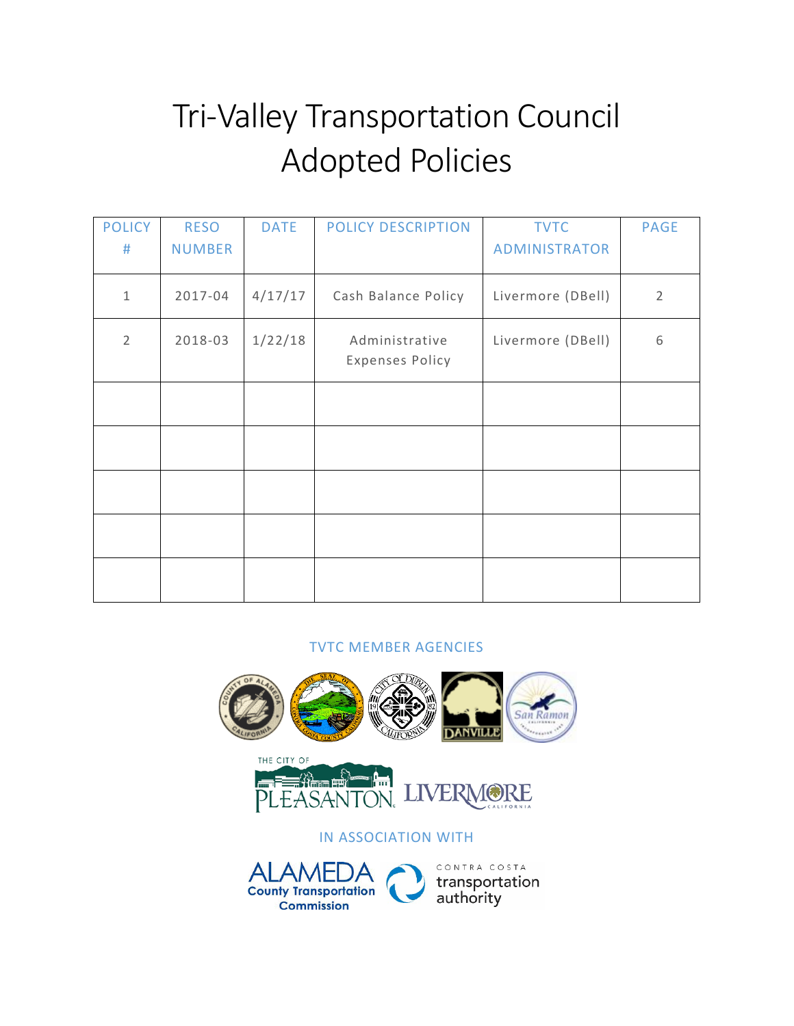### Tri-Valley Transportation Council Adopted Policies

| <b>POLICY</b>  | <b>RESO</b>   | <b>DATE</b> | POLICY DESCRIPTION     | <b>TVTC</b>          | <b>PAGE</b>    |
|----------------|---------------|-------------|------------------------|----------------------|----------------|
| #              | <b>NUMBER</b> |             |                        | <b>ADMINISTRATOR</b> |                |
|                |               |             |                        |                      |                |
| $\mathbf{1}$   | 2017-04       | 4/17/17     | Cash Balance Policy    | Livermore (DBell)    | $\overline{2}$ |
| $\overline{2}$ | 2018-03       | 1/22/18     | Administrative         | Livermore (DBell)    | 6              |
|                |               |             | <b>Expenses Policy</b> |                      |                |
|                |               |             |                        |                      |                |
|                |               |             |                        |                      |                |
|                |               |             |                        |                      |                |
|                |               |             |                        |                      |                |
|                |               |             |                        |                      |                |
|                |               |             |                        |                      |                |
|                |               |             |                        |                      |                |
|                |               |             |                        |                      |                |
|                |               |             |                        |                      |                |

#### TVTC MEMBER AGENCIES

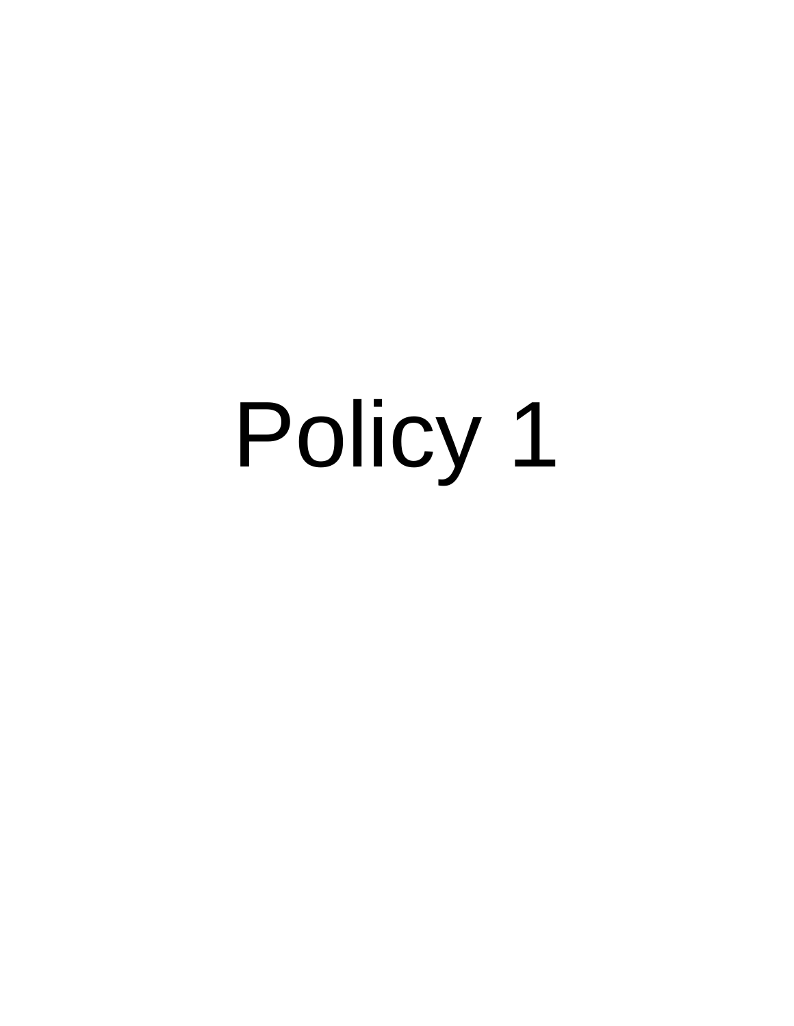## Policy 1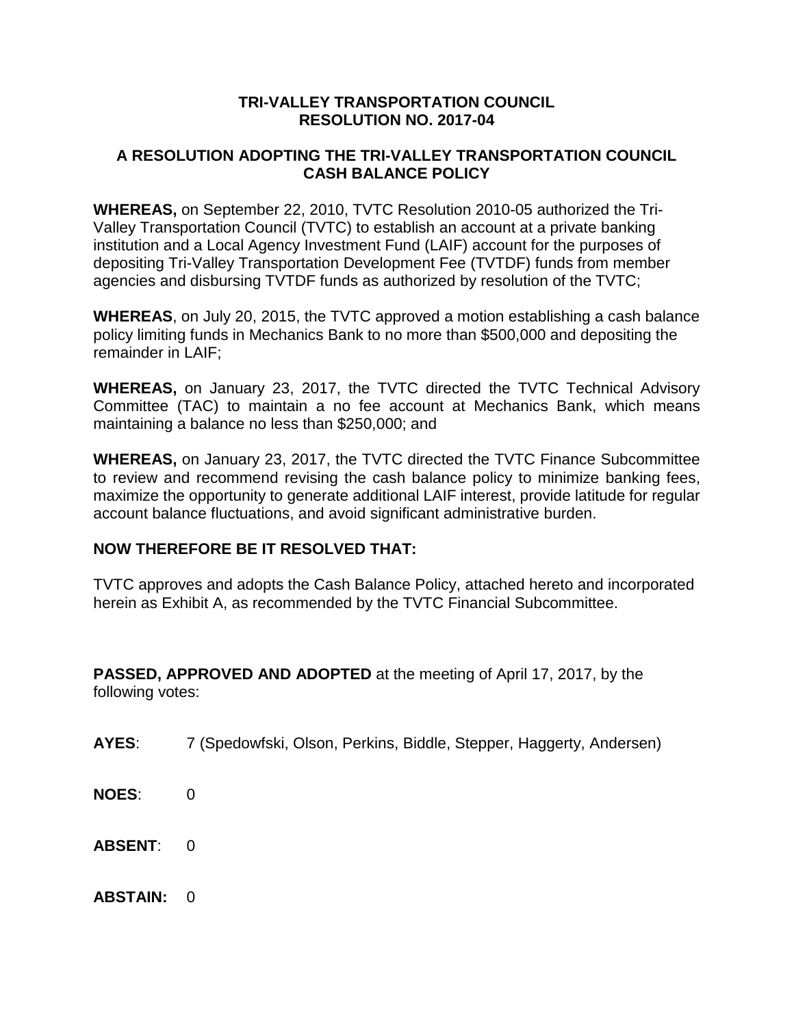#### **TRI-VALLEY TRANSPORTATION COUNCIL RESOLUTION NO. 2017-04**

#### **A RESOLUTION ADOPTING THE TRI-VALLEY TRANSPORTATION COUNCIL CASH BALANCE POLICY**

**WHEREAS,** on September 22, 2010, TVTC Resolution 2010-05 authorized the Tri-Valley Transportation Council (TVTC) to establish an account at a private banking institution and a Local Agency Investment Fund (LAIF) account for the purposes of depositing Tri-Valley Transportation Development Fee (TVTDF) funds from member agencies and disbursing TVTDF funds as authorized by resolution of the TVTC;

**WHEREAS**, on July 20, 2015, the TVTC approved a motion establishing a cash balance policy limiting funds in Mechanics Bank to no more than \$500,000 and depositing the remainder in LAIF;

**WHEREAS,** on January 23, 2017, the TVTC directed the TVTC Technical Advisory Committee (TAC) to maintain a no fee account at Mechanics Bank, which means maintaining a balance no less than \$250,000; and

**WHEREAS,** on January 23, 2017, the TVTC directed the TVTC Finance Subcommittee to review and recommend revising the cash balance policy to minimize banking fees, maximize the opportunity to generate additional LAIF interest, provide latitude for regular account balance fluctuations, and avoid significant administrative burden.

#### **NOW THEREFORE BE IT RESOLVED THAT:**

TVTC approves and adopts the Cash Balance Policy, attached hereto and incorporated herein as Exhibit A, as recommended by the TVTC Financial Subcommittee.

**PASSED, APPROVED AND ADOPTED** at the meeting of April 17, 2017, by the following votes:

- **AYES**: 7 (Spedowfski, Olson, Perkins, Biddle, Stepper, Haggerty, Andersen)
- **NOES**: 0
- **ABSENT:** 0
- **ABSTAIN: 0**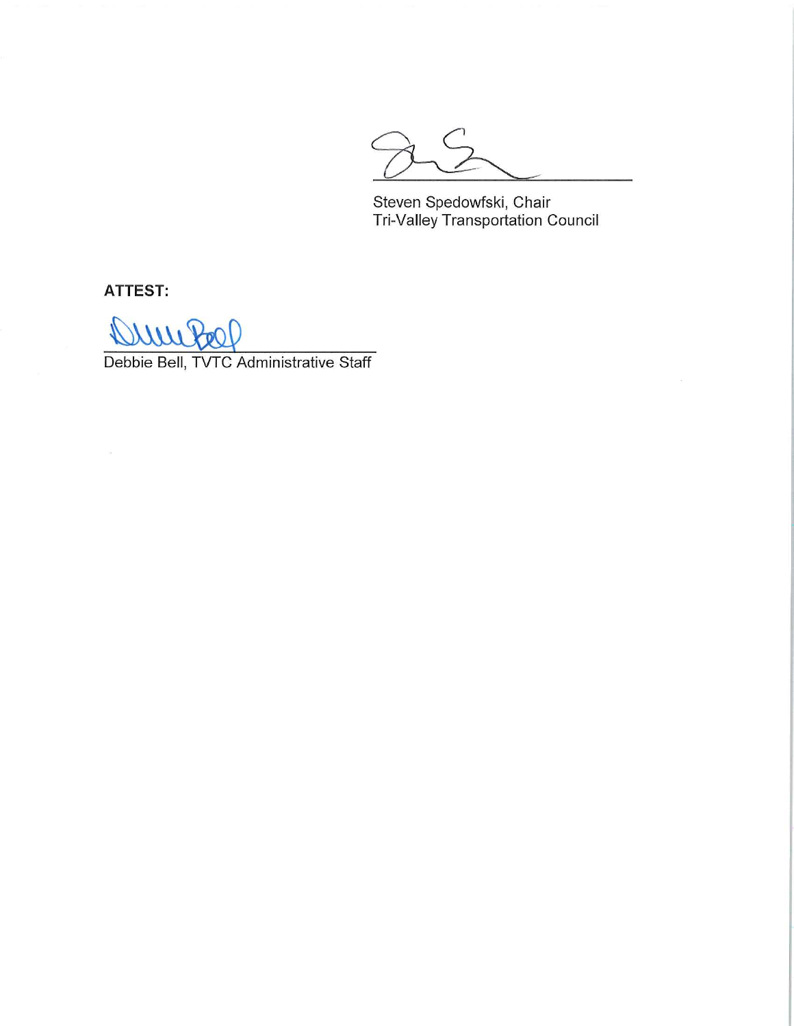Steven Spedowfski, Chair<br>Tri-Valley Transportation Council

**ATTEST:** 

 $11112$  $\mathcal{V}$ 

Debbie Bell, TVTC Administrative Staff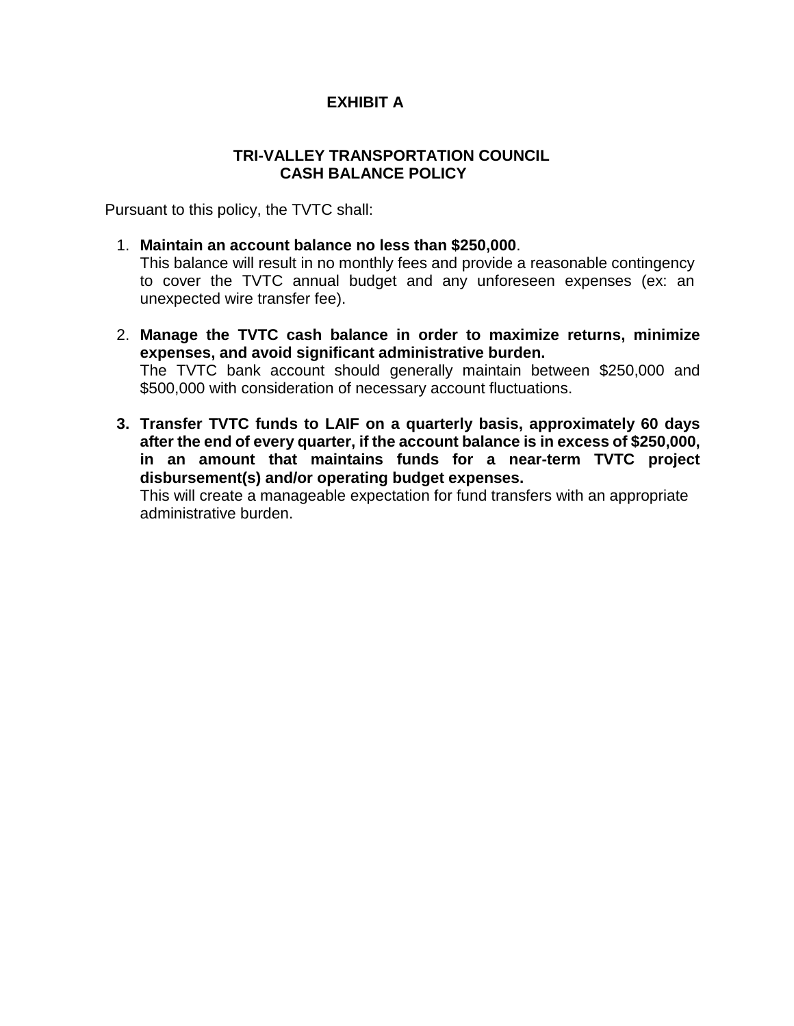#### **EXHIBIT A**

#### **TRI-VALLEY TRANSPORTATION COUNCIL CASH BALANCE POLICY**

Pursuant to this policy, the TVTC shall:

1. **Maintain an account balance no less than \$250,000**.

This balance will result in no monthly fees and provide a reasonable contingency to cover the TVTC annual budget and any unforeseen expenses (ex: an unexpected wire transfer fee).

- 2. **Manage the TVTC cash balance in order to maximize returns, minimize expenses, and avoid significant administrative burden.** The TVTC bank account should generally maintain between \$250,000 and \$500,000 with consideration of necessary account fluctuations.
- **3. Transfer TVTC funds to LAIF on a quarterly basis, approximately 60 days after the end of every quarter, if the account balance is in excess of \$250,000, in an amount that maintains funds for a near-term TVTC project disbursement(s) and/or operating budget expenses.**

This will create a manageable expectation for fund transfers with an appropriate administrative burden.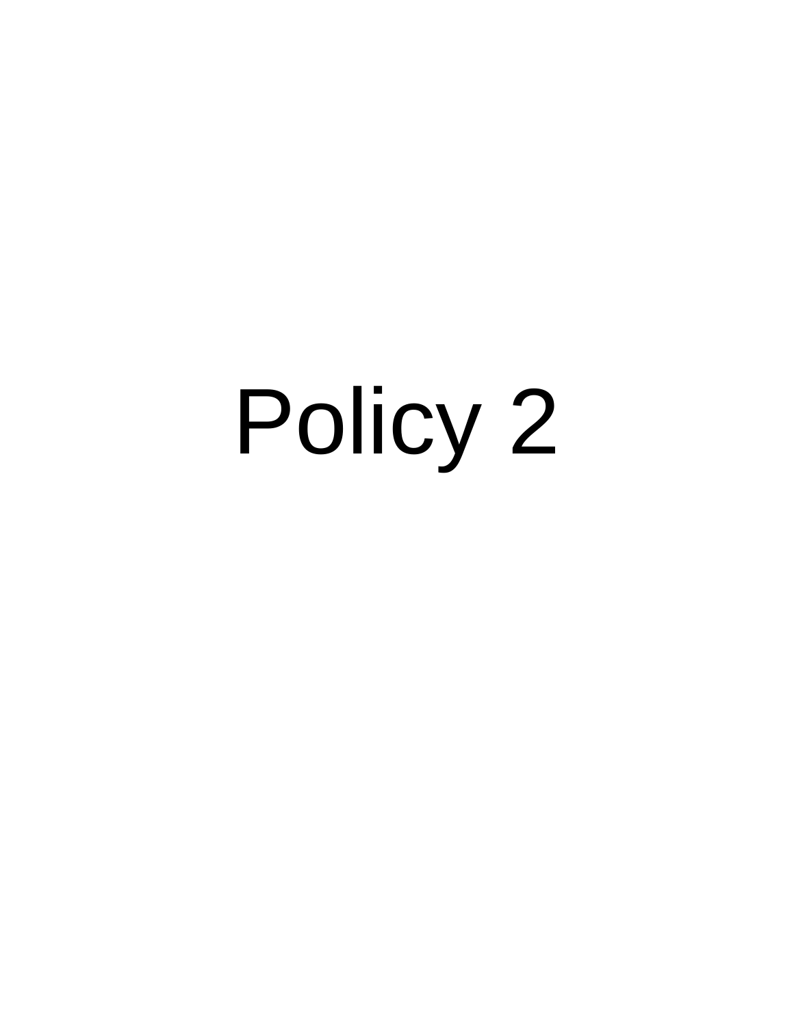# Policy 2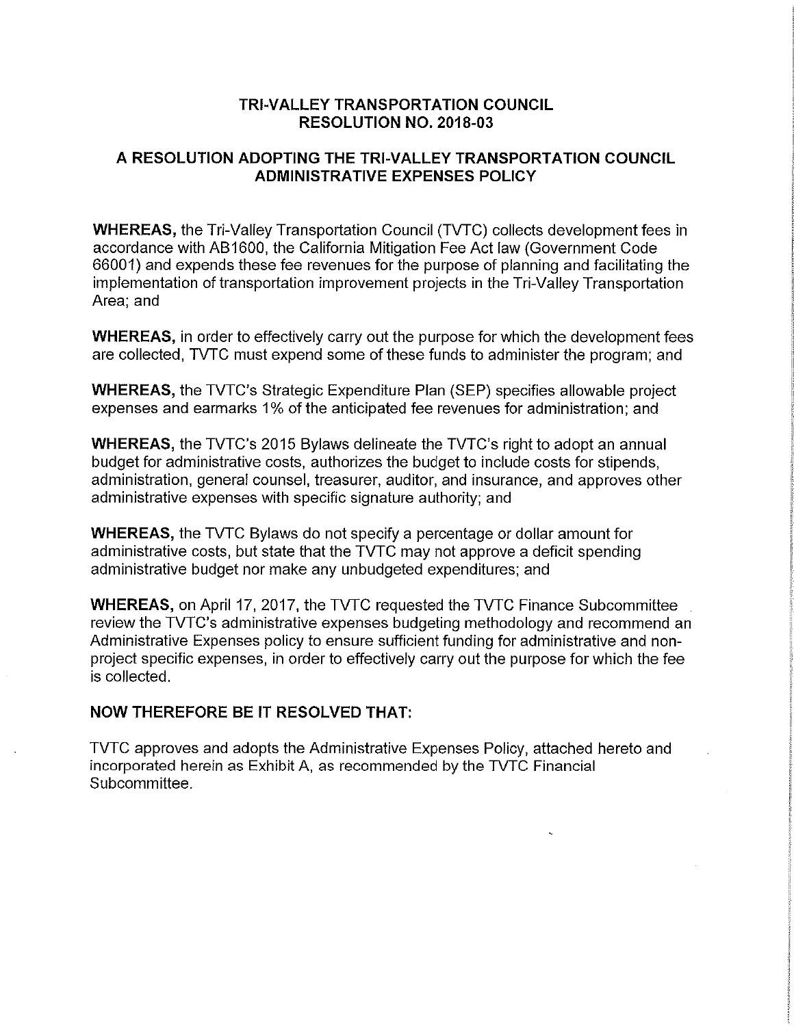#### **TRI-VALLEY TRANSPORTATION COUNCIL RESOLUTION NO. 2018-03**

#### A RESOLUTION ADOPTING THE TRI-VALLEY TRANSPORTATION COUNCIL **ADMINISTRATIVE EXPENSES POLICY**

**WHEREAS, the Tri-Valley Transportation Council (TVTC) collects development fees in** accordance with AB1600, the California Mitigation Fee Act law (Government Code 66001) and expends these fee revenues for the purpose of planning and facilitating the implementation of transportation improvement projects in the Tri-Valley Transportation Area: and

**WHEREAS, in order to effectively carry out the purpose for which the development fees** are collected. TVTC must expend some of these funds to administer the program; and

**WHEREAS, the TVTC's Strategic Expenditure Plan (SEP) specifies allowable project** expenses and earmarks 1% of the anticipated fee revenues for administration; and

WHEREAS, the TVTC's 2015 Bylaws delineate the TVTC's right to adopt an annual budget for administrative costs, authorizes the budget to include costs for stipends, administration, general counsel, treasurer, auditor, and insurance, and approves other administrative expenses with specific signature authority; and

**WHEREAS, the TVTC Bylaws do not specify a percentage or dollar amount for** administrative costs, but state that the TVTC may not approve a deficit spending administrative budget nor make any unbudgeted expenditures; and

**WHEREAS, on April 17, 2017, the TVTC requested the TVTC Finance Subcommittee** review the TVTC's administrative expenses budgeting methodology and recommend an Administrative Expenses policy to ensure sufficient funding for administrative and nonproject specific expenses, in order to effectively carry out the purpose for which the fee is collected.

#### **NOW THEREFORE BE IT RESOLVED THAT:**

TVTC approves and adopts the Administrative Expenses Policy, attached hereto and incorporated herein as Exhibit A, as recommended by the TVTC Financial Subcommittee.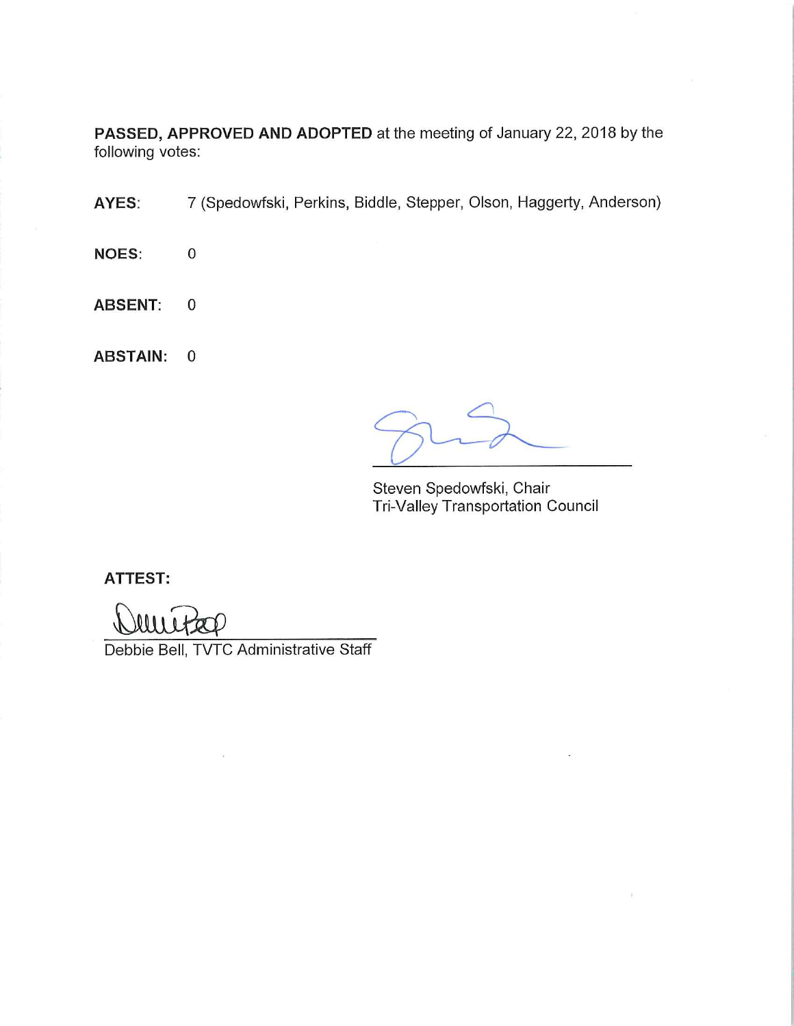PASSED, APPROVED AND ADOPTED at the meeting of January 22, 2018 by the following votes:

AYES: 7 (Spedowfski, Perkins, Biddle, Stepper, Olson, Haggerty, Anderson)

**NOES:**  $\mathbf 0$ 

**ABSENT:**  $\mathbf 0$ 

**ABSTAIN:**  $\mathbf 0$ 

Steven Spedowfski, Chair Tri-Valley Transportation Council

**ATTEST:** 

Debbie Bell, TVTC Administrative Staff